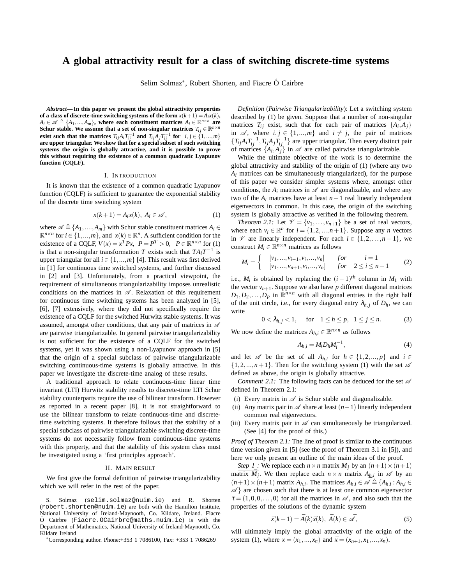# **A global attractivity result for a class of switching discrete-time systems**

Selim Solmaz<sup>∗</sup>, Robert Shorten, and Fiacre Ó Cairbre

*Abstract***— In this paper we present the global attractivity properties** of a class of discrete-time switching systems of the form  $x(k+1) = A_i x(k)$ ,  $A_i \in \mathscr{A} \triangleq \{A_1, ..., A_m\}$ , where each constituent matrices  $A_i \in \mathbb{R}^{n \times n}$  are **Schur stable. We assume that a set of non-singular matrices**  $T_{ij} \in \mathbb{R}^{n \times n}$ exist such that the matrices  $T_{ij}A_iT_{ij}^{-1}$  and  $T_{ij}A_jT_{ij}^{-1}$  for  $i, j \in \{1, ..., m\}$  are upper triangular. We show that for a special subset of such switching **systems the origin is globally attractive, and it is possible to prove this without requiring the existence of a common quadratic Lyapunov function (CQLF).**

### I. INTRODUCTION

It is known that the existence of a common quadratic Lyapunov function (CQLF) is sufficient to guarantee the exponential stability of the discrete time switching system

$$
x(k+1) = A_i x(k), \ A_i \in \mathcal{A}, \tag{1}
$$

where  $\mathscr{A} \triangleq \{A_1, ..., A_m\}$  with Schur stable constituent matrices  $A_i \in$  $\mathbb{R}^{n \times n}$  for  $i \in \{1, ..., m\}$ , and  $x(k) \in \mathbb{R}^n$ . A sufficient condition for the existence of a CQLF,  $V(x) = x^T P x$ ,  $P = P^T > 0$ ,  $P \in \mathbb{R}^{n \times n}$  for (1) is that a non-singular transformation *T* exists such that  $TA_iT^{-1}$  is upper triangular for all  $i \in \{1, ..., m\}$  [4]. This result was first derived in [1] for continuous time switched systems, and further discussed in [2] and [3]. Unfortunately, from a practical viewpoint, the requirement of simultaneous triangularizability imposes unrealistic conditions on the matrices in  $\mathscr A$ . Relaxation of this requirement for continuous time switching systems has been analyzed in [5], [6], [7] extensively, where they did not specifically require the existence of a CQLF for the switched Hurwitz stable systems. It was assumed, amongst other conditions, that any pair of matrices in  $\mathscr A$ are pairwise triangularizable. In general pairwise triangularizability is not sufficient for the existence of a CQLF for the switched systems, yet it was shown using a non-Lyapunov approach in [5] that the origin of a special subclass of pairwise triangularizable switching continuous-time systems is globally attractive. In this paper we investigate the discrete-time analog of these results.

A traditional approach to relate continuous-time linear time invariant (LTI) Hurwitz stability results to discrete-time LTI Schur stability counterparts require the use of bilinear transform. However as reported in a recent paper [8], it is not straightforward to use the bilinear transform to relate continuous-time and discretetime switching systems. It therefore follows that the stability of a special subclass of pairwise triangularizable switching discrete-time systems do not necessarily follow from continuous-time systems with this property, and that the stability of this system class must be investigated using a 'first principles approach'.

### II. MAIN RESULT

We first give the formal definition of pairwise triangularizability which we will refer in the rest of the paper.

S. Solmaz (selim.solmaz@nuim.ie) and R. Shorten (robert.shorten@nuim.ie) are both with the Hamilton Institute, National University of Ireland-Maynooth, Co. Kildare, Ireland. Fiacre  $\acute{O}$  Cairbre (Fiacre.OCairbre@maths.nuim.ie) is with the Department of Mathematics, National University of Ireland-Maynooth, Co. Kildare Ireland

<sup>∗</sup>Corresponding author. Phone:+353 1 7086100, Fax: +353 1 7086269

*Definition* (*Pairwise Triangularizability*): Let a switching system described by (1) be given. Suppose that a number of non-singular matrices  $T_{ij}$  exist, such that for each pair of matrices  $\{A_i, A_j\}$ in  $\mathscr A$ , where  $i, j \in \{1, ..., m\}$  and  $i \neq j$ , the pair of matrices  ${T_{ij}A_iT_{ij}^{-1}, T_{ij}A_jT_{ij}^{-1}}$  are upper triangular. Then every distinct pair of matrices  $\{A_i, A_j\}$  in  $\mathscr A$  are called pairwise triangularizable.

While the ultimate objective of the work is to determine the global attractivity and stability of the origin of (1) (where any two  $A_i$  matrices can be simultaneously triangularized), for the purpose of this paper we consider simpler systems where, amongst other conditions, the  $A_i$  matrices in  $\mathscr A$  are diagonalizable, and where any two of the  $A_i$  matrices have at least  $n-1$  real linearly independent eigenvectors in common. In this case, the origin of the switching system is globally attractive as verified in the following theorem.

*Theorem 2.1:* Let  $\mathcal{V} = \{v_1, \ldots, v_{n+1}\}\$ be a set of real vectors, where each  $v_i \in \mathbb{R}^n$  for  $i = \{1, 2, ..., n+1\}$ . Suppose any *n* vectors in  $\mathcal V$  are linearly independent. For each  $i \in \{1, 2, ..., n+1\}$ , we construct  $M_i \in \mathbb{R}^{n \times n}$  matrices as follows

$$
M_i = \begin{cases} [v_1, ..., v_{i-1}, v_i, ..., v_n] & for & i = 1 \\ [v_1, ..., v_{n+1}, v_i, ..., v_n] & for & 2 \le i \le n+1 \end{cases}
$$
 (2)

i.e.,  $M_i$  is obtained by replacing the  $(i-1)^{th}$  column in  $M_1$  with the vector  $v_{n+1}$ . Suppose we also have *p* different diagonal matrices  $D_1, D_2, \ldots, D_p$  in  $\mathbb{R}^{n \times n}$  with all diagonal entries in the right half of the unit circle, i.e., for every diagonal entry  $\lambda_{h,i}$  of  $D_h$ , we can write

$$
0 < \lambda_{h,j} < 1, \quad \text{for} \quad 1 \le h \le p, \quad 1 \le j \le n. \tag{3}
$$

We now define the matrices  $A_{h,i} \in \mathbb{R}^{n \times n}$  as follows

$$
A_{h,i} = M_i D_h M_i^{-1},\tag{4}
$$

and let  $\mathscr A$  be the set of all  $A_{h,i}$  for  $h \in \{1,2,...,p\}$  and  $i \in$  $\{1,2,...,n+1\}$ . Then for the switching system (1) with the set  $\mathscr A$ defined as above, the origin is globally attractive.

*Comment 2.1:* The following facts can be deduced for the set  $\mathscr A$ defined in Theorem 2.1:

- (i) Every matrix in  $\mathscr A$  is Schur stable and diagonalizable.
- (ii) Any matrix pair in  $\mathscr A$  share at least  $(n-1)$  linearly independent common real eigenvectors.
- (iii) Every matrix pair in  $\mathscr A$  can simultaneously be triangularized. (See [4] for the proof of this.)

*Proof of Theorem 2.1:* The line of proof is similar to the continuous time version given in [5] (see the proof of Theorem 3.1 in [5]), and here we only present an outline of the main ideas of the proof.

*Step 1* : We replace each  $n \times n$  matrix  $M_i$  by an  $(n+1) \times (n+1)$  $\overline{M_j}$ . We then replace each  $n \times n$  matrix  $A_{h,i}$  in  $\mathscr A$  by an  $(n+1) \times (n+1)$  matrix  $\overline{A}_{h,i}$ . The matrices  $\overline{A}_{h,i} \in \mathscr{A} \triangleq {\overline{A}_{h,i} : A_{h,i} \in \mathscr{A}}$  $\mathscr{A}$  are chosen such that there is at least one common eigenvector  $\tau = (1,0,0,\ldots,0)$  for all the matrices in  $\mathscr{A}$ , and also such that the properties of the solutions of the dynamic system

$$
\bar{x}(k+1) = \bar{A}(k)\bar{x}(k), \ \bar{A}(k) \in \bar{\mathscr{A}},\tag{5}
$$

will ultimately imply the global attractivity of the origin of the system (1), where  $x = (x_1, ..., x_n)$  and  $\bar{x} = (x_{n+1}, x_1, ..., x_n)$ .